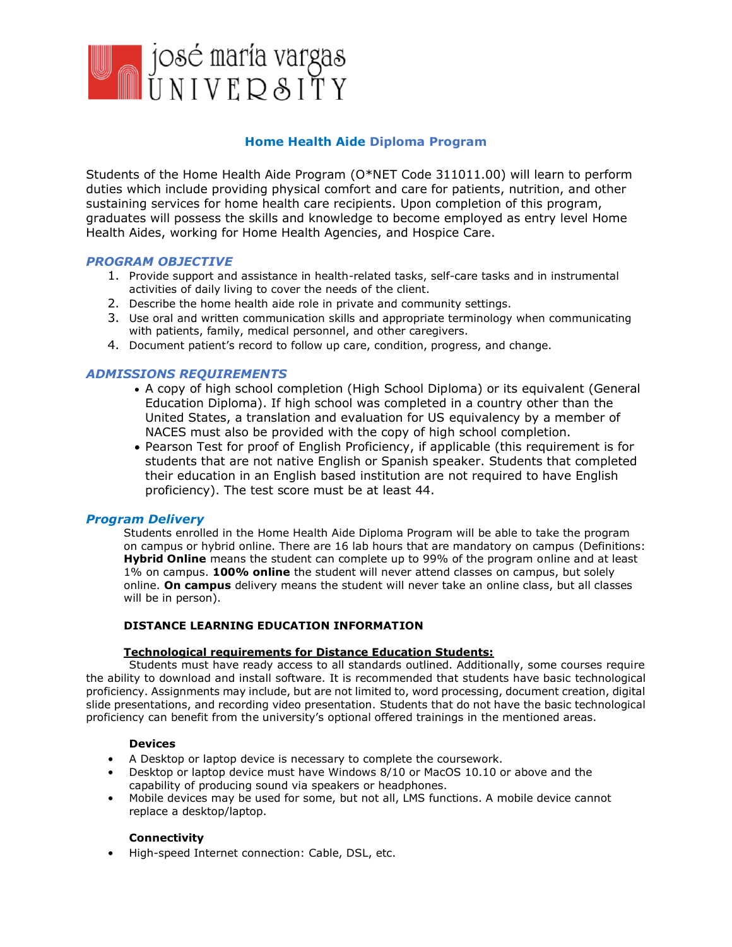

## **Home Health Aide Diploma Program**

Students of the Home Health Aide Program (O\*NET Code 311011.00) will learn to perform duties which include providing physical comfort and care for patients, nutrition, and other sustaining services for home health care recipients. Upon completion of this program, graduates will possess the skills and knowledge to become employed as entry level Home Health Aides, working for Home Health Agencies, and Hospice Care.

## *PROGRAM OBJECTIVE*

- 1. Provide support and assistance in health-related tasks, self-care tasks and in instrumental activities of daily living to cover the needs of the client.
- 2. Describe the home health aide role in private and community settings.
- 3. Use oral and written communication skills and appropriate terminology when communicating with patients, family, medical personnel, and other caregivers.
- 4. Document patient's record to follow up care, condition, progress, and change.

## *ADMISSIONS REQUIREMENTS*

- A copy of high school completion (High School Diploma) or its equivalent (General Education Diploma). If high school was completed in a country other than the United States, a translation and evaluation for US equivalency by a member of NACES must also be provided with the copy of high school completion.
- Pearson Test for proof of English Proficiency, if applicable (this requirement is for students that are not native English or Spanish speaker. Students that completed their education in an English based institution are not required to have English proficiency). The test score must be at least 44.

### *Program Delivery*

Students enrolled in the Home Health Aide Diploma Program will be able to take the program on campus or hybrid online. There are 16 lab hours that are mandatory on campus (Definitions: **Hybrid Online** means the student can complete up to 99% of the program online and at least 1% on campus. **100% online** the student will never attend classes on campus, but solely online. **On campus** delivery means the student will never take an online class, but all classes will be in person).

### **DISTANCE LEARNING EDUCATION INFORMATION**

### **Technological requirements for Distance Education Students:**

Students must have ready access to all standards outlined. Additionally, some courses require the ability to download and install software. It is recommended that students have basic technological proficiency. Assignments may include, but are not limited to, word processing, document creation, digital slide presentations, and recording video presentation. Students that do not have the basic technological proficiency can benefit from the university's optional offered trainings in the mentioned areas.

### **Devices**

- A Desktop or laptop device is necessary to complete the coursework.
- Desktop or laptop device must have Windows 8/10 or MacOS 10.10 or above and the capability of producing sound via speakers or headphones.
- Mobile devices may be used for some, but not all, LMS functions. A mobile device cannot replace a desktop/laptop.

### **Connectivity**

• High-speed Internet connection: Cable, DSL, etc.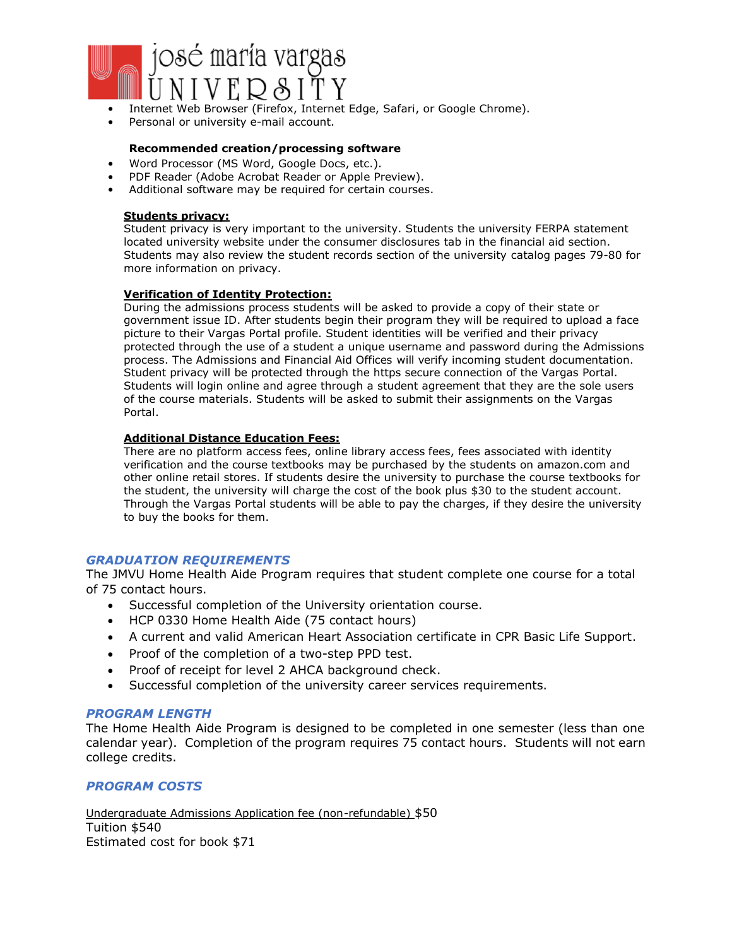

- Internet Web Browser (Firefox, Internet Edge, Safari, or Google Chrome).
- Personal or university e-mail account.

#### **Recommended creation/processing software**

- Word Processor (MS Word, Google Docs, etc.).
- PDF Reader (Adobe Acrobat Reader or Apple Preview).
- Additional software may be required for certain courses.

## **Students privacy:**

Student privacy is very important to the university. Students the university FERPA statement located university website under the consumer disclosures tab in the financial aid section. Students may also review the student records section of the university catalog pages 79-80 for more information on privacy.

#### **Verification of Identity Protection:**

During the admissions process students will be asked to provide a copy of their state or government issue ID. After students begin their program they will be required to upload a face picture to their Vargas Portal profile. Student identities will be verified and their privacy protected through the use of a student a unique username and password during the Admissions process. The Admissions and Financial Aid Offices will verify incoming student documentation. Student privacy will be protected through the https secure connection of the Vargas Portal. Students will login online and agree through a student agreement that they are the sole users of the course materials. Students will be asked to submit their assignments on the Vargas Portal.

#### **Additional Distance Education Fees:**

There are no platform access fees, online library access fees, fees associated with identity verification and the course textbooks may be purchased by the students on amazon.com and other online retail stores. If students desire the university to purchase the course textbooks for the student, the university will charge the cost of the book plus \$30 to the student account. Through the Vargas Portal students will be able to pay the charges, if they desire the university to buy the books for them.

## *GRADUATION REQUIREMENTS*

The JMVU Home Health Aide Program requires that student complete one course for a total of 75 contact hours.

- Successful completion of the University orientation course.
- HCP 0330 Home Health Aide (75 contact hours)
- A current and valid American Heart Association certificate in CPR Basic Life Support.
- Proof of the completion of a two-step PPD test.
- Proof of receipt for level 2 AHCA background check.
- Successful completion of the university career services requirements.

### *PROGRAM LENGTH*

The Home Health Aide Program is designed to be completed in one semester (less than one calendar year). Completion of the program requires 75 contact hours. Students will not earn college credits.

## *PROGRAM COSTS*

Undergraduate Admissions Application fee (non-refundable) \$50 Tuition \$540 Estimated cost for book \$71